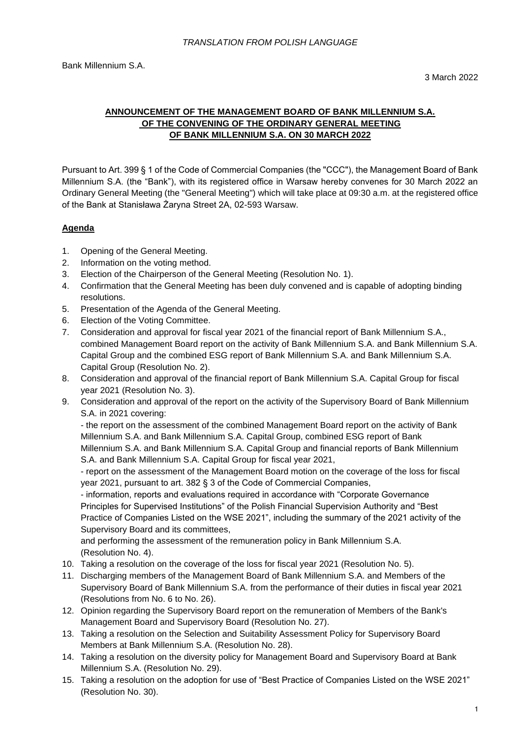# **ANNOUNCEMENT OF THE MANAGEMENT BOARD OF BANK MILLENNIUM S.A. OF THE CONVENING OF THE ORDINARY GENERAL MEETING OF BANK MILLENNIUM S.A. ON 30 MARCH 2022**

Pursuant to Art. 399 § 1 of the Code of Commercial Companies (the "CCC"), the Management Board of Bank Millennium S.A. (the "Bank"), with its registered office in Warsaw hereby convenes for 30 March 2022 an Ordinary General Meeting (the "General Meeting") which will take place at 09:30 a.m. at the registered office of the Bank at Stanisława Żaryna Street 2A, 02-593 Warsaw.

# **Agenda**

- 1. Opening of the General Meeting.
- 2. Information on the voting method.
- 3. Election of the Chairperson of the General Meeting (Resolution No. 1).
- 4. Confirmation that the General Meeting has been duly convened and is capable of adopting binding resolutions.
- 5. Presentation of the Agenda of the General Meeting.
- 6. Election of the Voting Committee.
- 7. Consideration and approval for fiscal year 2021 of the financial report of Bank Millennium S.A., combined Management Board report on the activity of Bank Millennium S.A. and Bank Millennium S.A. Capital Group and the combined ESG report of Bank Millennium S.A. and Bank Millennium S.A. Capital Group (Resolution No. 2).
- 8. Consideration and approval of the financial report of Bank Millennium S.A. Capital Group for fiscal year 2021 (Resolution No. 3).
- 9. Consideration and approval of the report on the activity of the Supervisory Board of Bank Millennium S.A. in 2021 covering:

- the report on the assessment of the combined Management Board report on the activity of Bank Millennium S.A. and Bank Millennium S.A. Capital Group, combined ESG report of Bank Millennium S.A. and Bank Millennium S.A. Capital Group and financial reports of Bank Millennium S.A. and Bank Millennium S.A. Capital Group for fiscal year 2021,

- report on the assessment of the Management Board motion on the coverage of the loss for fiscal year 2021, pursuant to art. 382 § 3 of the Code of Commercial Companies,

- information, reports and evaluations required in accordance with "Corporate Governance Principles for Supervised Institutions" of the Polish Financial Supervision Authority and "Best Practice of Companies Listed on the WSE 2021", including the summary of the 2021 activity of the Supervisory Board and its committees,

and performing the assessment of the remuneration policy in Bank Millennium S.A. (Resolution No. 4).

- 10. Taking a resolution on the coverage of the loss for fiscal year 2021 (Resolution No. 5).
- 11. Discharging members of the Management Board of Bank Millennium S.A. and Members of the Supervisory Board of Bank Millennium S.A. from the performance of their duties in fiscal year 2021 (Resolutions from No. 6 to No. 26).
- 12. Opinion regarding the Supervisory Board report on the remuneration of Members of the Bank's Management Board and Supervisory Board (Resolution No. 27).
- 13. Taking a resolution on the Selection and Suitability Assessment Policy for Supervisory Board Members at Bank Millennium S.A. (Resolution No. 28).
- 14. Taking a resolution on the diversity policy for Management Board and Supervisory Board at Bank Millennium S.A. (Resolution No. 29).
- 15. Taking a resolution on the adoption for use of "Best Practice of Companies Listed on the WSE 2021" (Resolution No. 30).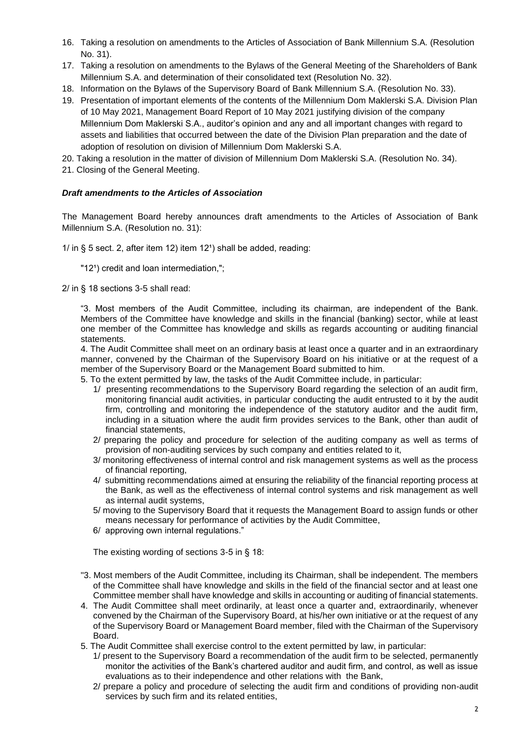- 16. Taking a resolution on amendments to the Articles of Association of Bank Millennium S.A. (Resolution No. 31).
- 17. Taking a resolution on amendments to the Bylaws of the General Meeting of the Shareholders of Bank Millennium S.A. and determination of their consolidated text (Resolution No. 32).
- 18. Information on the Bylaws of the Supervisory Board of Bank Millennium S.A. (Resolution No. 33).
- 19. Presentation of important elements of the contents of the Millennium Dom Maklerski S.A. Division Plan of 10 May 2021, Management Board Report of 10 May 2021 justifying division of the company Millennium Dom Maklerski S.A., auditor's opinion and any and all important changes with regard to assets and liabilities that occurred between the date of the Division Plan preparation and the date of adoption of resolution on division of Millennium Dom Maklerski S.A.
- 20. Taking a resolution in the matter of division of Millennium Dom Maklerski S.A. (Resolution No. 34).
- 21. Closing of the General Meeting.

### *Draft amendments to the Articles of Association*

The Management Board hereby announces draft amendments to the Articles of Association of Bank Millennium S.A. (Resolution no. 31):

 $1/$  in § 5 sect. 2, after item 12) item 12<sup>1</sup>) shall be added, reading:

"12<sup>1</sup>) credit and loan intermediation,";

2/ in § 18 sections 3-5 shall read:

"3. Most members of the Audit Committee, including its chairman, are independent of the Bank. Members of the Committee have knowledge and skills in the financial (banking) sector, while at least one member of the Committee has knowledge and skills as regards accounting or auditing financial statements.

4. The Audit Committee shall meet on an ordinary basis at least once a quarter and in an extraordinary manner, convened by the Chairman of the Supervisory Board on his initiative or at the request of a member of the Supervisory Board or the Management Board submitted to him.

5. To the extent permitted by law, the tasks of the Audit Committee include, in particular:

- 1/ presenting recommendations to the Supervisory Board regarding the selection of an audit firm, monitoring financial audit activities, in particular conducting the audit entrusted to it by the audit firm, controlling and monitoring the independence of the statutory auditor and the audit firm, including in a situation where the audit firm provides services to the Bank, other than audit of financial statements,
- 2/ preparing the policy and procedure for selection of the auditing company as well as terms of provision of non-auditing services by such company and entities related to it,
- 3/ monitoring effectiveness of internal control and risk management systems as well as the process of financial reporting,
- 4/ submitting recommendations aimed at ensuring the reliability of the financial reporting process at the Bank, as well as the effectiveness of internal control systems and risk management as well as internal audit systems,
- 5/ moving to the Supervisory Board that it requests the Management Board to assign funds or other means necessary for performance of activities by the Audit Committee,
- 6/ approving own internal regulations."

The existing wording of sections 3-5 in § 18:

- "3. Most members of the Audit Committee, including its Chairman, shall be independent. The members of the Committee shall have knowledge and skills in the field of the financial sector and at least one Committee member shall have knowledge and skills in accounting or auditing of financial statements.
- 4. The Audit Committee shall meet ordinarily, at least once a quarter and, extraordinarily, whenever convened by the Chairman of the Supervisory Board, at his/her own initiative or at the request of any of the Supervisory Board or Management Board member, filed with the Chairman of the Supervisory Board.
- 5. The Audit Committee shall exercise control to the extent permitted by law, in particular:
	- 1/ present to the Supervisory Board a recommendation of the audit firm to be selected, permanently monitor the activities of the Bank's chartered auditor and audit firm, and control, as well as issue evaluations as to their independence and other relations with the Bank,
	- 2/ prepare a policy and procedure of selecting the audit firm and conditions of providing non-audit services by such firm and its related entities,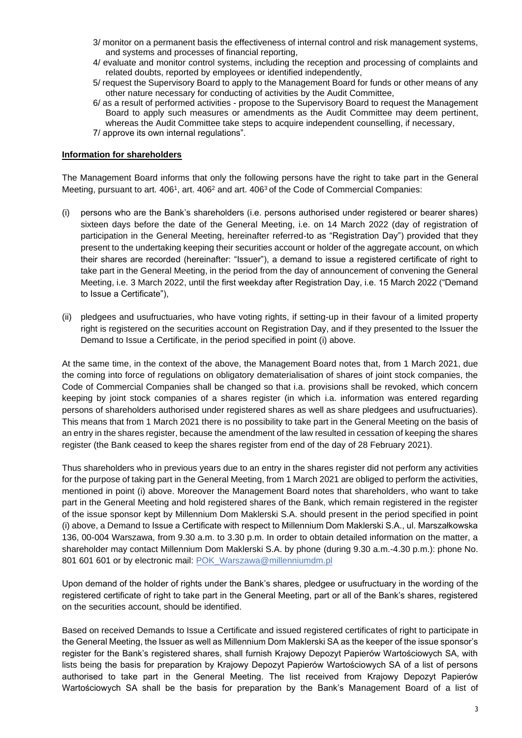- 3/ monitor on a permanent basis the effectiveness of internal control and risk management systems, and systems and processes of financial reporting,
- 4/ evaluate and monitor control systems, including the reception and processing of complaints and related doubts, reported by employees or identified independently,
- 5/ request the Supervisory Board to apply to the Management Board for funds or other means of any other nature necessary for conducting of activities by the Audit Committee,
- 6/ as a result of performed activities propose to the Supervisory Board to request the Management Board to apply such measures or amendments as the Audit Committee may deem pertinent, whereas the Audit Committee take steps to acquire independent counselling, if necessary,
- 7/ approve its own internal regulations".

### **Information for shareholders**

The Management Board informs that only the following persons have the right to take part in the General Meeting, pursuant to art.  $406^1$ , art.  $406^2$  and art.  $406^3$  of the Code of Commercial Companies:

- (i) persons who are the Bank's shareholders (i.e. persons authorised under registered or bearer shares) sixteen days before the date of the General Meeting, i.e. on 14 March 2022 (day of registration of participation in the General Meeting, hereinafter referred-to as "Registration Day") provided that they present to the undertaking keeping their securities account or holder of the aggregate account, on which their shares are recorded (hereinafter: "Issuer"), a demand to issue a registered certificate of right to take part in the General Meeting, in the period from the day of announcement of convening the General Meeting, i.e. 3 March 2022, until the first weekday after Registration Day, i.e. 15 March 2022 ("Demand to Issue a Certificate"),
- (ii) pledgees and usufructuaries, who have voting rights, if setting-up in their favour of a limited property right is registered on the securities account on Registration Day, and if they presented to the Issuer the Demand to Issue a Certificate, in the period specified in point (i) above.

At the same time, in the context of the above, the Management Board notes that, from 1 March 2021, due the coming into force of regulations on obligatory dematerialisation of shares of joint stock companies, the Code of Commercial Companies shall be changed so that i.a. provisions shall be revoked, which concern keeping by joint stock companies of a shares register (in which i.a. information was entered regarding persons of shareholders authorised under registered shares as well as share pledgees and usufructuaries). This means that from 1 March 2021 there is no possibility to take part in the General Meeting on the basis of an entry in the shares register, because the amendment of the law resulted in cessation of keeping the shares register (the Bank ceased to keep the shares register from end of the day of 28 February 2021).

Thus shareholders who in previous years due to an entry in the shares register did not perform any activities for the purpose of taking part in the General Meeting, from 1 March 2021 are obliged to perform the activities, mentioned in point (i) above. Moreover the Management Board notes that shareholders, who want to take part in the General Meeting and hold registered shares of the Bank, which remain registered in the register of the issue sponsor kept by Millennium Dom Maklerski S.A. should present in the period specified in point (i) above, a Demand to Issue a Certificate with respect to Millennium Dom Maklerski S.A., ul. Marszałkowska 136, 00-004 Warszawa, from 9.30 a.m. to 3.30 p.m. In order to obtain detailed information on the matter, a shareholder may contact Millennium Dom Maklerski S.A. by phone (during 9.30 a.m.-4.30 p.m.): phone No. 801 601 601 or by electronic mail: [POK\\_Warszawa@millenniumdm.pl](mailto:POK_Warszawa@millenniumdm.pl/)

Upon demand of the holder of rights under the Bank's shares, pledgee or usufructuary in the wording of the registered certificate of right to take part in the General Meeting, part or all of the Bank's shares, registered on the securities account, should be identified.

Based on received Demands to Issue a Certificate and issued registered certificates of right to participate in the General Meeting, the Issuer as well as Millennium Dom Maklerski SA as the keeper of the issue sponsor's register for the Bank's registered shares, shall furnish Krajowy Depozyt Papierów Wartościowych SA, with lists being the basis for preparation by Krajowy Depozyt Papierów Wartościowych SA of a list of persons authorised to take part in the General Meeting. The list received from Krajowy Depozyt Papierów Wartościowych SA shall be the basis for preparation by the Bank's Management Board of a list of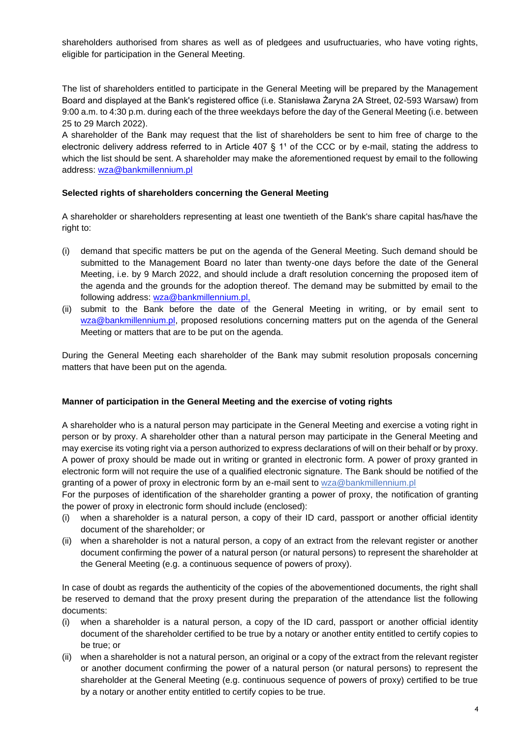shareholders authorised from shares as well as of pledgees and usufructuaries, who have voting rights, eligible for participation in the General Meeting.

The list of shareholders entitled to participate in the General Meeting will be prepared by the Management Board and displayed at the Bank's registered office (i.e. Stanisława Żaryna 2A Street, 02-593 Warsaw) from 9:00 a.m. to 4:30 p.m. during each of the three weekdays before the day of the General Meeting (i.e. between 25 to 29 March 2022).

A shareholder of the Bank may request that the list of shareholders be sent to him free of charge to the electronic delivery address referred to in Article 407  $\S$  1<sup>1</sup> of the CCC or by e-mail, stating the address to which the list should be sent. A shareholder may make the aforementioned request by email to the following address: [wza@bankmillennium.pl](mailto:wza@bankmillennium.pl)

## **Selected rights of shareholders concerning the General Meeting**

A shareholder or shareholders representing at least one twentieth of the Bank's share capital has/have the right to:

- (i) demand that specific matters be put on the agenda of the General Meeting. Such demand should be submitted to the Management Board no later than twenty-one days before the date of the General Meeting, i.e. by 9 March 2022, and should include a draft resolution concerning the proposed item of the agenda and the grounds for the adoption thereof. The demand may be submitted by email to the following address: [wza@bankmillennium.pl,](mailto:wza@bankmillennium.pl)
- (ii) submit to the Bank before the date of the General Meeting in writing, or by email sent to [wza@bankmillennium.pl,](mailto:wza@bankmillennium.pl) proposed resolutions concerning matters put on the agenda of the General Meeting or matters that are to be put on the agenda.

During the General Meeting each shareholder of the Bank may submit resolution proposals concerning matters that have been put on the agenda.

### **Manner of participation in the General Meeting and the exercise of voting rights**

A shareholder who is a natural person may participate in the General Meeting and exercise a voting right in person or by proxy. A shareholder other than a natural person may participate in the General Meeting and may exercise its voting right via a person authorized to express declarations of will on their behalf or by proxy. A power of proxy should be made out in writing or granted in electronic form. A power of proxy granted in electronic form will not require the use of a qualified electronic signature. The Bank should be notified of the granting of a power of proxy in electronic form by an e-mail sent to [wza@bankmillennium.pl](mailto:wza@bankmillennium.pl)

For the purposes of identification of the shareholder granting a power of proxy, the notification of granting the power of proxy in electronic form should include (enclosed):

- (i) when a shareholder is a natural person, a copy of their ID card, passport or another official identity document of the shareholder; or
- (ii) when a shareholder is not a natural person, a copy of an extract from the relevant register or another document confirming the power of a natural person (or natural persons) to represent the shareholder at the General Meeting (e.g. a continuous sequence of powers of proxy).

In case of doubt as regards the authenticity of the copies of the abovementioned documents, the right shall be reserved to demand that the proxy present during the preparation of the attendance list the following documents:

- (i) when a shareholder is a natural person, a copy of the ID card, passport or another official identity document of the shareholder certified to be true by a notary or another entity entitled to certify copies to be true; or
- (ii) when a shareholder is not a natural person, an original or a copy of the extract from the relevant register or another document confirming the power of a natural person (or natural persons) to represent the shareholder at the General Meeting (e.g. continuous sequence of powers of proxy) certified to be true by a notary or another entity entitled to certify copies to be true.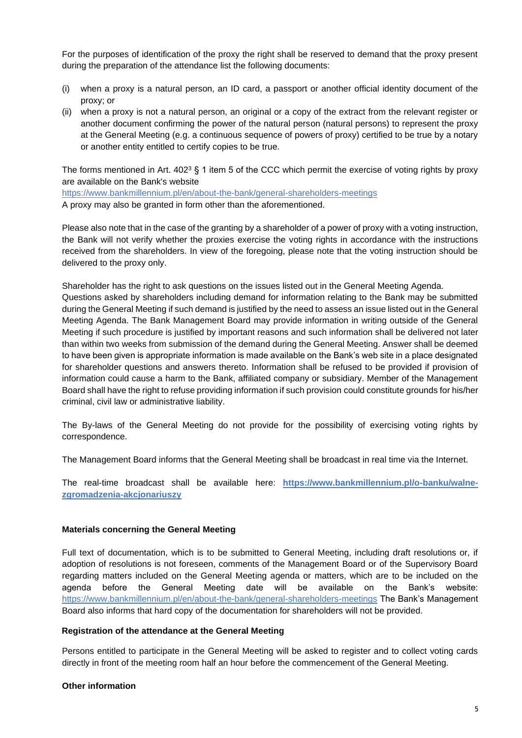For the purposes of identification of the proxy the right shall be reserved to demand that the proxy present during the preparation of the attendance list the following documents:

- (i) when a proxy is a natural person, an ID card, a passport or another official identity document of the proxy; or
- (ii) when a proxy is not a natural person, an original or a copy of the extract from the relevant register or another document confirming the power of the natural person (natural persons) to represent the proxy at the General Meeting (e.g. a continuous sequence of powers of proxy) certified to be true by a notary or another entity entitled to certify copies to be true.

The forms mentioned in Art.  $402<sup>3</sup>$  § 1 item 5 of the CCC which permit the exercise of voting rights by proxy are available on the Bank's website

<https://www.bankmillennium.pl/en/about-the-bank/general-shareholders-meetings> A proxy may also be granted in form other than the aforementioned.

Please also note that in the case of the granting by a shareholder of a power of proxy with a voting instruction, the Bank will not verify whether the proxies exercise the voting rights in accordance with the instructions received from the shareholders. In view of the foregoing, please note that the voting instruction should be delivered to the proxy only.

Shareholder has the right to ask questions on the issues listed out in the General Meeting Agenda. Questions asked by shareholders including demand for information relating to the Bank may be submitted during the General Meeting if such demand is justified by the need to assess an issue listed out in the General Meeting Agenda. The Bank Management Board may provide information in writing outside of the General Meeting if such procedure is justified by important reasons and such information shall be delivered not later than within two weeks from submission of the demand during the General Meeting. Answer shall be deemed to have been given is appropriate information is made available on the Bank's web site in a place designated for shareholder questions and answers thereto. Information shall be refused to be provided if provision of information could cause a harm to the Bank, affiliated company or subsidiary. Member of the Management Board shall have the right to refuse providing information if such provision could constitute grounds for his/her criminal, civil law or administrative liability.

The By-laws of the General Meeting do not provide for the possibility of exercising voting rights by correspondence.

The Management Board informs that the General Meeting shall be broadcast in real time via the Internet.

The real-time broadcast shall be available here: **[https://www.bankmillennium.pl/o-banku/walne](https://www.bankmillennium.pl/o-banku/walne-zgromadzenia-akcjonariuszy)[zgromadzenia-akcjonariuszy](https://www.bankmillennium.pl/o-banku/walne-zgromadzenia-akcjonariuszy)**

## **Materials concerning the General Meeting**

Full text of documentation, which is to be submitted to General Meeting, including draft resolutions or, if adoption of resolutions is not foreseen, comments of the Management Board or of the Supervisory Board regarding matters included on the General Meeting agenda or matters, which are to be included on the agenda before the General Meeting date will be available on the Bank's website: <https://www.bankmillennium.pl/en/about-the-bank/general-shareholders-meetings> The Bank's Management Board also informs that hard copy of the documentation for shareholders will not be provided.

### **Registration of the attendance at the General Meeting**

Persons entitled to participate in the General Meeting will be asked to register and to collect voting cards directly in front of the meeting room half an hour before the commencement of the General Meeting.

### **Other information**